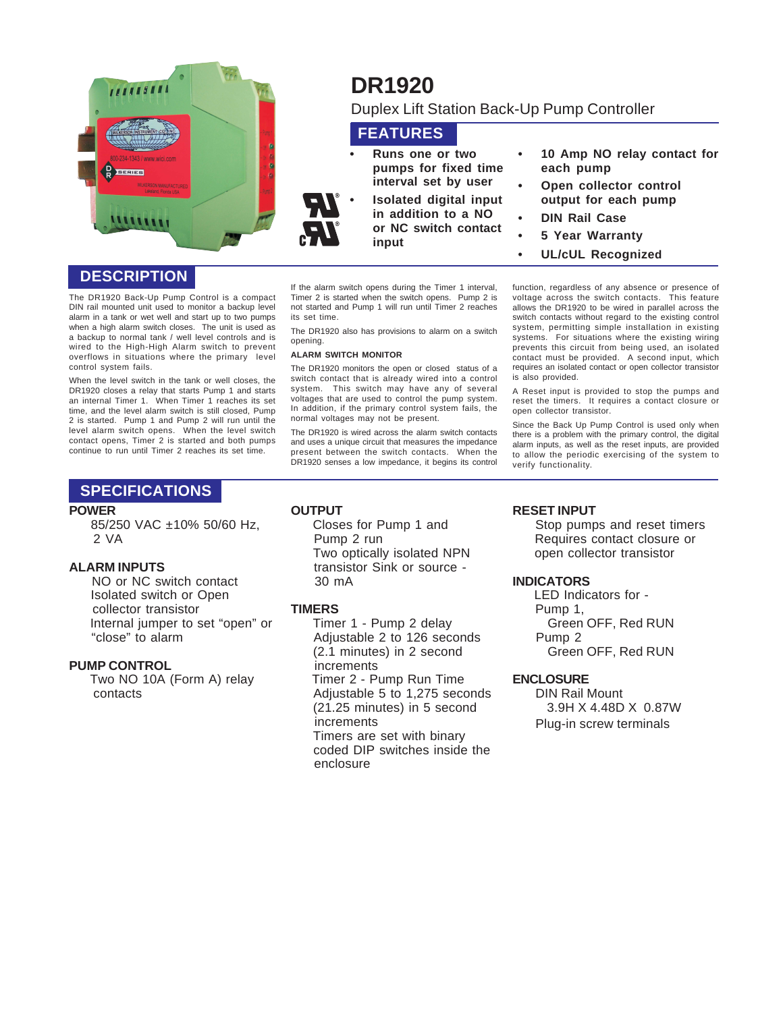

## **DESCRIPTION**

The DR1920 Back-Up Pump Control is a compact DIN rail mounted unit used to monitor a backup level alarm in a tank or wet well and start up to two pumps when a high alarm switch closes. The unit is used as a backup to normal tank / well level controls and is wired to the High-High Alarm switch to prevent overflows in situations where the primary level control system fails.

When the level switch in the tank or well closes, the DR1920 closes a relay that starts Pump 1 and starts an internal Timer 1. When Timer 1 reaches its set time, and the level alarm switch is still closed, Pump 2 is started. Pump 1 and Pump 2 will run until the level alarm switch opens. When the level switch contact opens, Timer 2 is started and both pumps continue to run until Timer 2 reaches its set time.

#### If the alarm switch opens during the Timer 1 interval, Timer 2 is started when the switch opens. Pump 2 is not started and Pump 1 will run until Timer 2 reaches its set time.

The DR1920 also has provisions to alarm on a switch opening.

#### **ALARM SWITCH MONITOR**

The DR1920 monitors the open or closed status of a switch contact that is already wired into a control system. This switch may have any of several voltages that are used to control the pump system. In addition, if the primary control system fails, the normal voltages may not be present.

The DR1920 is wired across the alarm switch contacts and uses a unique circuit that measures the impedance present between the switch contacts. When the DR1920 senses a low impedance, it begins its control function, regardless of any absence or presence of voltage across the switch contacts. This feature allows the DR1920 to be wired in parallel across the switch contacts without regard to the existing control system, permitting simple installation in existing systems. For situations where the existing wiring prevents this circuit from being used, an isolated contact must be provided. A second input, which requires an isolated contact or open collector transistor is also provided.

A Reset input is provided to stop the pumps and reset the timers. It requires a contact closure or open collector transistor.

Since the Back Up Pump Control is used only when there is a problem with the primary control, the digital alarm inputs, as well as the reset inputs, are provided to allow the periodic exercising of the system to verify functionality.

### **SPECIFICATIONS**

#### **POWER**

 85/250 VAC ±10% 50/60 Hz, 2 VA

#### **ALARM INPUTS**

 NO or NC switch contact Isolated switch or Open collector transistor Internal jumper to set "open" or "close" to alarm

#### **PUMP CONTROL**

 Two NO 10A (Form A) relay contacts

#### **OUTPUT**

 Closes for Pump 1 and Pump 2 run Two optically isolated NPN transistor Sink or source - 30 mA

#### **TIMERS**

 Timer 1 - Pump 2 delay Adjustable 2 to 126 seconds (2.1 minutes) in 2 second increments Timer 2 - Pump Run Time Adjustable 5 to 1,275 seconds (21.25 minutes) in 5 second increments Timers are set with binary coded DIP switches inside the enclosure

#### **RESET INPUT**

 Stop pumps and reset timers Requires contact closure or open collector transistor

#### **INDICATORS**

 LED Indicators for - Pump 1, Green OFF, Red RUN Pump 2 Green OFF, Red RUN

#### **ENCLOSURE**

DIN Rail Mount 3.9H X 4.48D X 0.87W Plug-in screw terminals

# **DR1920**

Duplex Lift Station Back-Up Pump Controller

## **FEATURES**

- **Runs one or two pumps for fixed time interval set by user**
- **Isolated digital input in addition to a NO or NC switch contact input**
- **10 Amp NO relay contact for each pump**
	- **Open collector control output for each pump**
	- **DIN Rail Case**
	- **5 Year Warranty**
	- **UL/cUL Recognized**